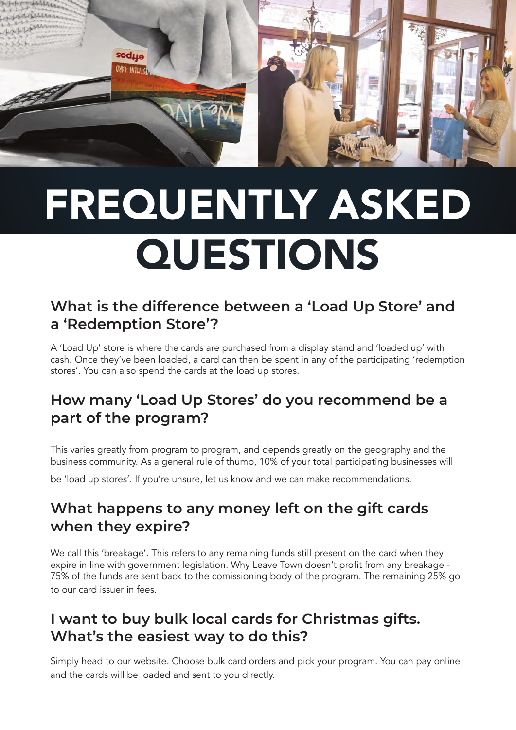

# FREQUENTLY ASKED QUESTIONS

#### **What is the difference between a 'Load Up Store' and a 'Redemption Store'?**

A 'Load Up' store is where the cards are purchased from a display stand and 'loaded up' with cash. Once they've been loaded, a card can then be spent in any of the participating 'redemption stores'. You can also spend the cards at the load up stores.

#### **How many 'Load Up Stores' do you recommend be a part of the program?**

This varies greatly from program to program, and depends greatly on the geography and the business community. As a general rule of thumb, 10% of your total participating businesses will

be 'load up stores'. If you're unsure, let us know and we can make recommendations.

#### **What happens to any money left on the gift cards when they expire?**

We call this 'breakage'. This refers to any remaining funds still present on the card when they expire in line with government legislation. Why Leave Town doesn't profit from any breakage - 75% of the funds are sent back to the comissioning body of the program. The remaining 25% go to our card issuer in fees.

#### **I want to buy bulk local cards for Christmas gifts. What's the easiest way to do this?**

Simply head to our website. Choose bulk card orders and pick your program. You can pay online and the cards will be loaded and sent to you directly.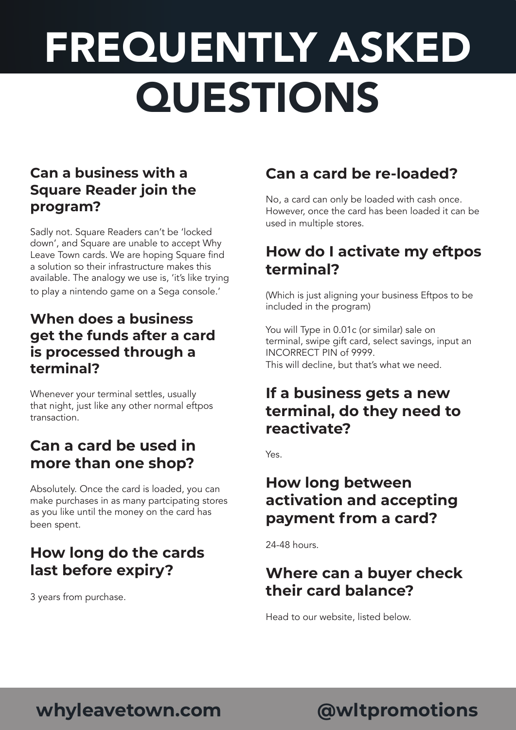# FREQUENTLY ASKED QUESTIONS

#### **Can a business with a Square Reader join the program?**

Sadly not. Square Readers can't be 'locked down', and Square are unable to accept Why Leave Town cards. We are hoping Square find a solution so their infrastructure makes this available. The analogy we use is, 'it's like trying to play a nintendo game on a Sega console.'

#### **When does a business get the funds after a card is processed through a terminal?**

Whenever your terminal settles, usually that night, just like any other normal eftpos transaction.

#### **Can a card be used in more than one shop?**

Absolutely. Once the card is loaded, you can make purchases in as many partcipating stores as you like until the money on the card has been spent.

### **How long do the cards last before expiry?**

3 years from purchase.

### **Can a card be re-loaded?**

No, a card can only be loaded with cash once. However, once the card has been loaded it can be used in multiple stores.

#### **How do I activate my eftpos terminal?**

(Which is just aligning your business Eftpos to be included in the program)

You will Type in 0.01c (or similar) sale on terminal, swipe gift card, select savings, input an INCORRECT PIN of 9999. This will decline, but that's what we need.

#### **If a business gets a new terminal, do they need to reactivate?**

Yes.

#### **How long between activation and accepting payment from a card?**

24-48 hours.

### **Where can a buyer check their card balance?**

Head to our website, listed below.

## **whyleavetown.com @wltpromotions**